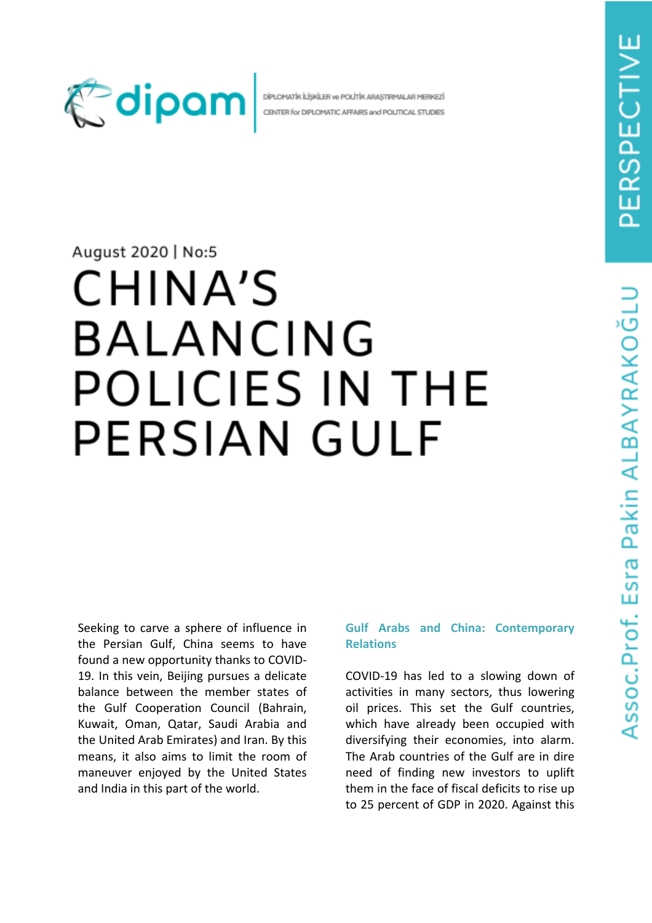

DİPLOMATİK İLİSIKİLER VE POLİTİK ARASTIRMALAR MERKEZİ CENTER for DIPLOMATIC AFFAIRS and POLITICAL STUDIES

# August 2020 | No:5

# CHINA'S BALANCING POLICIES IN THE **PERSIAN GULF**

Seeking to carve a sphere of influence in the Persian Gulf, China seems to have found a new opportunity thanks to COVID-19. In this vein, Beijing pursues a delicate balance between the member states of the Gulf Cooperation Council (Bahrain, Kuwait, Oman, Qatar, Saudi Arabia and the United Arab Emirates) and Iran. By this means, it also aims to limit the room of maneuver enjoyed by the United States and India in this part of the world.

### **Gulf Arabs and China: Contemporary Relations**

COVID-19 has led to a slowing down of activities in many sectors, thus lowering oil prices. This set the Gulf countries, which have already been occupied with diversifying their economies, into alarm. The Arab countries of the Gulf are in dire need of finding new investors to uplift them in the face of fiscal deficits to rise up to 25 percent of GDP in 2020. Against this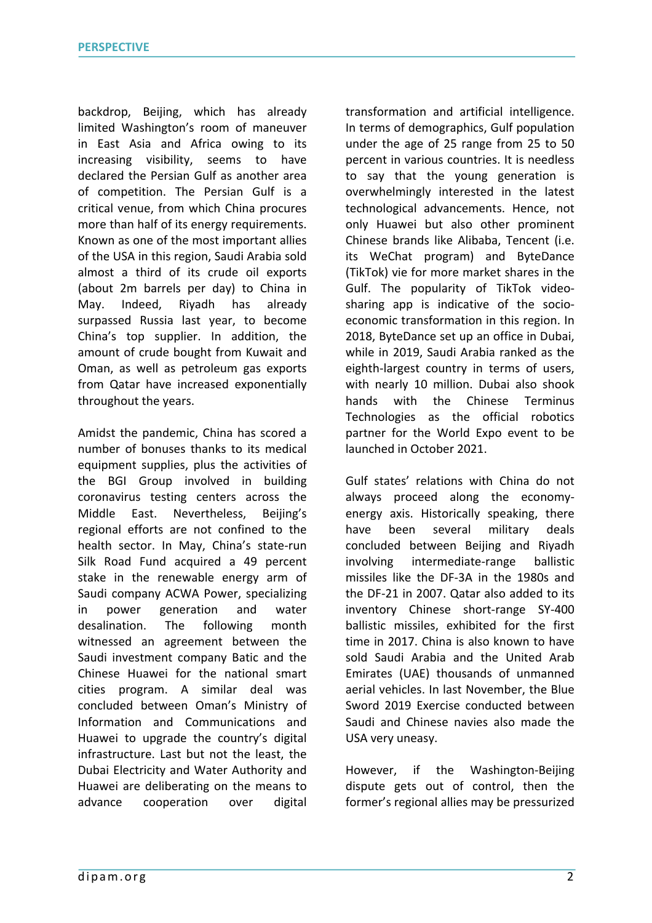backdrop, Beijing, which has already limited Washington's room of maneuver in East Asia and Africa owing to its increasing visibility, seems to have declared the Persian Gulf as another area of competition. The Persian Gulf is a critical venue, from which China procures more than half of its energy requirements. Known as one of the most important allies of the USA in this region, Saudi Arabia sold almost a third of its crude oil exports (about 2m barrels per day) to China in May. Indeed, Riyadh has already surpassed Russia last year, to become China's top supplier. In addition, the amount of crude bought from Kuwait and Oman, as well as petroleum gas exports from Qatar have increased exponentially throughout the years.

Amidst the pandemic, China has scored a number of bonuses thanks to its medical equipment supplies, plus the activities of the BGI Group involved in building coronavirus testing centers across the Middle East. Nevertheless, Beijing's regional efforts are not confined to the health sector. In May, China's state-run Silk Road Fund acquired a 49 percent stake in the renewable energy arm of Saudi company ACWA Power, specializing in power generation and water desalination. The following month witnessed an agreement between the Saudi investment company Batic and the Chinese Huawei for the national smart cities program. A similar deal was concluded between Oman's Ministry of Information and Communications and Huawei to upgrade the country's digital infrastructure. Last but not the least, the Dubai Electricity and Water Authority and Huawei are deliberating on the means to advance cooperation over digital transformation and artificial intelligence. In terms of demographics, Gulf population under the age of 25 range from 25 to 50 percent in various countries. It is needless to say that the young generation is overwhelmingly interested in the latest technological advancements. Hence, not only Huawei but also other prominent Chinese brands like Alibaba, Tencent (i.e. its WeChat program) and ByteDance (TikTok) vie for more market shares in the Gulf. The popularity of TikTok videosharing app is indicative of the socioeconomic transformation in this region. In 2018, ByteDance set up an office in Dubai, while in 2019, Saudi Arabia ranked as the eighth-largest country in terms of users, with nearly 10 million. Dubai also shook hands with the Chinese Terminus Technologies as the official robotics partner for the World Expo event to be launched in October 2021.

Gulf states' relations with China do not always proceed along the economyenergy axis. Historically speaking, there have been several military deals concluded between Beijing and Riyadh involving intermediate-range ballistic missiles like the DF-3A in the 1980s and the DF-21 in 2007. Qatar also added to its inventory Chinese short-range SY-400 ballistic missiles, exhibited for the first time in 2017. China is also known to have sold Saudi Arabia and the United Arab Emirates (UAE) thousands of unmanned aerial vehicles. In last November, the Blue Sword 2019 Exercise conducted between Saudi and Chinese navies also made the USA very uneasy.

However, if the Washington-Beijing dispute gets out of control, then the former's regional allies may be pressurized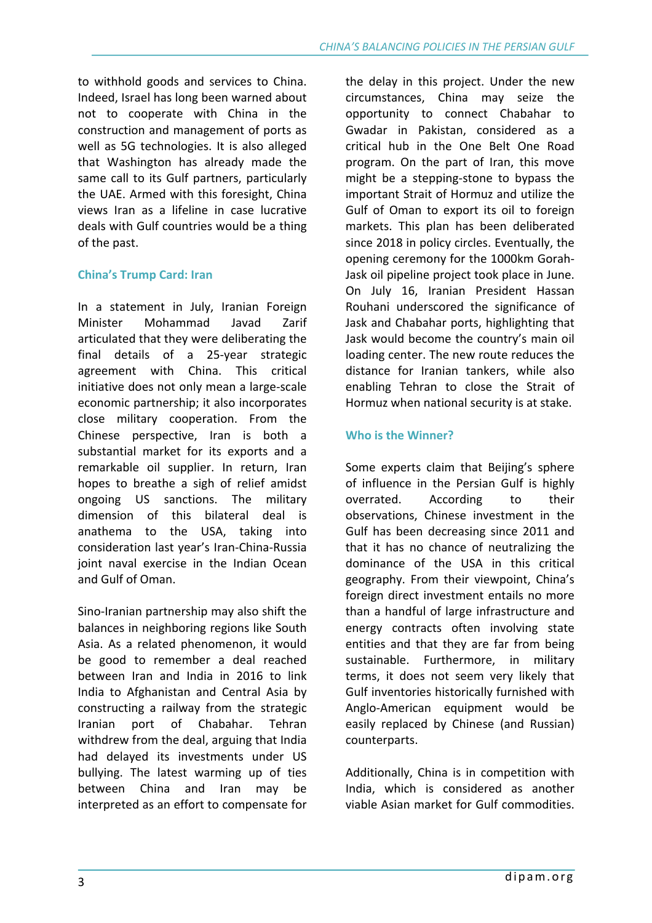to withhold goods and services to China. Indeed, Israel has long been warned about not to cooperate with China in the construction and management of ports as well as 5G technologies. It is also alleged that Washington has already made the same call to its Gulf partners, particularly the UAE. Armed with this foresight, China views Iran as a lifeline in case lucrative deals with Gulf countries would be a thing of the past.

# **China's Trump Card: Iran**

In a statement in July, Iranian Foreign Minister Mohammad Javad Zarif articulated that they were deliberating the final details of a 25-year strategic agreement with China. This critical initiative does not only mean a large-scale economic partnership; it also incorporates close military cooperation. From the Chinese perspective, Iran is both a substantial market for its exports and a remarkable oil supplier. In return, Iran hopes to breathe a sigh of relief amidst ongoing US sanctions. The military dimension of this bilateral deal is anathema to the USA, taking into consideration last year's Iran-China-Russia joint naval exercise in the Indian Ocean and Gulf of Oman.

Sino-Iranian partnership may also shift the balances in neighboring regions like South Asia. As a related phenomenon, it would be good to remember a deal reached between Iran and India in 2016 to link India to Afghanistan and Central Asia by constructing a railway from the strategic Iranian port of Chabahar. Tehran withdrew from the deal, arguing that India had delayed its investments under US bullying. The latest warming up of ties between China and Iran may be interpreted as an effort to compensate for the delay in this project. Under the new circumstances, China may seize the opportunity to connect Chabahar to Gwadar in Pakistan, considered as a critical hub in the One Belt One Road program. On the part of Iran, this move might be a stepping-stone to bypass the important Strait of Hormuz and utilize the Gulf of Oman to export its oil to foreign markets. This plan has been deliberated since 2018 in policy circles. Eventually, the opening ceremony for the 1000km Gorah-Jask oil pipeline project took place in June. On July 16, Iranian President Hassan Rouhani underscored the significance of Jask and Chabahar ports, highlighting that Jask would become the country's main oil loading center. The new route reduces the distance for Iranian tankers, while also enabling Tehran to close the Strait of Hormuz when national security is at stake.

# **Who is the Winner?**

Some experts claim that Beijing's sphere of influence in the Persian Gulf is highly overrated. According to their observations, Chinese investment in the Gulf has been decreasing since 2011 and that it has no chance of neutralizing the dominance of the USA in this critical geography. From their viewpoint, China's foreign direct investment entails no more than a handful of large infrastructure and energy contracts often involving state entities and that they are far from being sustainable. Furthermore, in military terms, it does not seem very likely that Gulf inventories historically furnished with Anglo-American equipment would be easily replaced by Chinese (and Russian) counterparts.

Additionally, China is in competition with India, which is considered as another viable Asian market for Gulf commodities.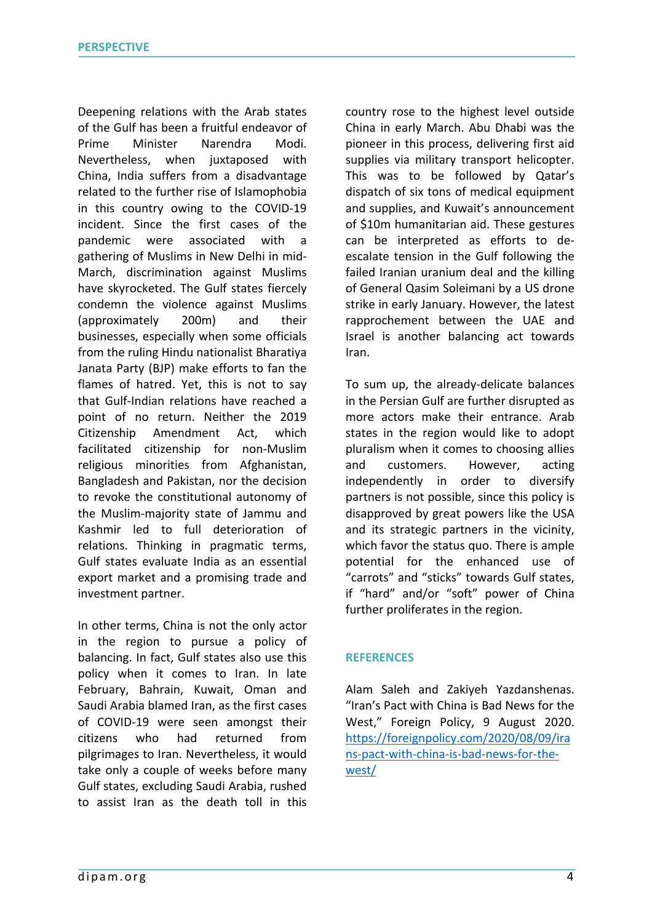Deepening relations with the Arab states of the Gulf has been a fruitful endeavor of Prime Minister Narendra Modi. Nevertheless, when juxtaposed with China, India suffers from a disadvantage related to the further rise of Islamophobia in this country owing to the COVID-19 incident. Since the first cases of the pandemic were associated with a gathering of Muslims in New Delhi in mid-March, discrimination against Muslims have skyrocketed. The Gulf states fiercely condemn the violence against Muslims (approximately 200m) and their businesses, especially when some officials from the ruling Hindu nationalist Bharatiya Janata Party (BJP) make efforts to fan the flames of hatred. Yet, this is not to say that Gulf-Indian relations have reached a point of no return. Neither the 2019 Citizenship Amendment Act, which facilitated citizenship for non-Muslim religious minorities from Afghanistan, Bangladesh and Pakistan, nor the decision to revoke the constitutional autonomy of the Muslim-majority state of Jammu and Kashmir led to full deterioration of relations. Thinking in pragmatic terms, Gulf states evaluate India as an essential export market and a promising trade and investment partner.

In other terms, China is not the only actor in the region to pursue a policy of balancing. In fact, Gulf states also use this policy when it comes to Iran. In late February, Bahrain, Kuwait, Oman and Saudi Arabia blamed Iran, as the first cases of COVID-19 were seen amongst their citizens who had returned from pilgrimages to Iran. Nevertheless, it would take only a couple of weeks before many Gulf states, excluding Saudi Arabia, rushed to assist Iran as the death toll in this

country rose to the highest level outside China in early March. Abu Dhabi was the pioneer in this process, delivering first aid supplies via military transport helicopter. This was to be followed by Qatar's dispatch of six tons of medical equipment and supplies, and Kuwait's announcement of \$10m humanitarian aid. These gestures can be interpreted as efforts to deescalate tension in the Gulf following the failed Iranian uranium deal and the killing of General Qasim Soleimani by a US drone strike in early January. However, the latest rapprochement between the UAE and Israel is another balancing act towards Iran.

To sum up, the already-delicate balances in the Persian Gulf are further disrupted as more actors make their entrance. Arab states in the region would like to adopt pluralism when it comes to choosing allies and customers. However, acting independently in order to diversify partners is not possible, since this policy is disapproved by great powers like the USA and its strategic partners in the vicinity, which favor the status quo. There is ample potential for the enhanced use of "carrots" and "sticks" towards Gulf states, if "hard" and/or "soft" power of China further proliferates in the region.

### **REFERENCES**

Alam Saleh and Zakiyeh Yazdanshenas. "Iran's Pact with China is Bad News for the West," Foreign Policy, 9 August 2020. https://foreignpolicy.com/2020/08/09/ira ns-pact-with-china-is-bad-news-for-thewest/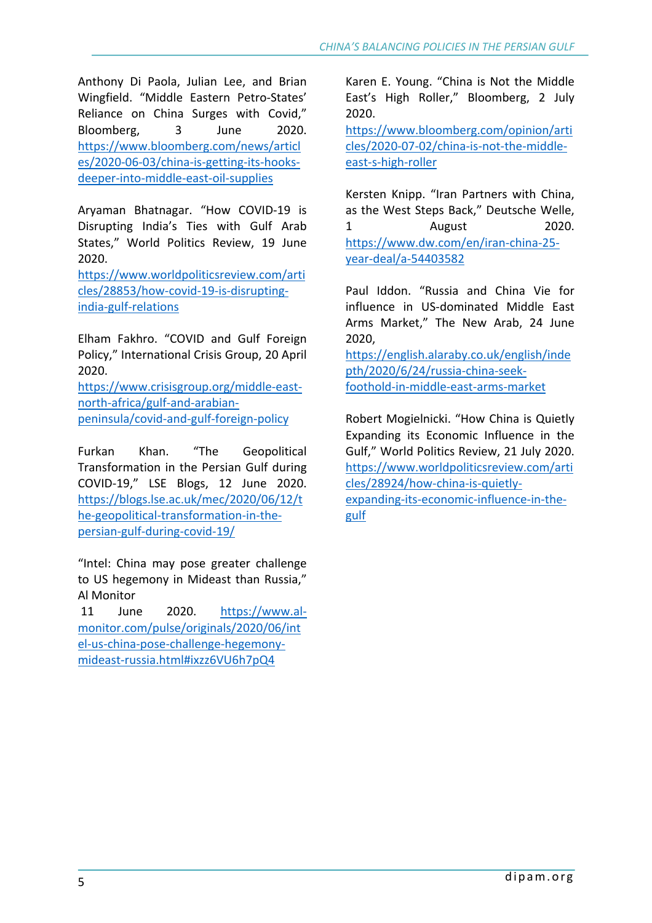Anthony Di Paola, Julian Lee, and Brian Wingfield. "Middle Eastern Petro-States' Reliance on China Surges with Covid," Bloomberg, 3 June 2020. https://www.bloomberg.com/news/articl es/2020-06-03/china-is-getting-its-hooksdeeper-into-middle-east-oil-supplies

Aryaman Bhatnagar. "How COVID-19 is Disrupting India's Ties with Gulf Arab States," World Politics Review, 19 June 2020.

https://www.worldpoliticsreview.com/arti cles/28853/how-covid-19-is-disruptingindia-gulf-relations

Elham Fakhro. "COVID and Gulf Foreign Policy," International Crisis Group, 20 April 2020.

https://www.crisisgroup.org/middle-eastnorth-africa/gulf-and-arabianpeninsula/covid-and-gulf-foreign-policy

Furkan Khan. "The Geopolitical Transformation in the Persian Gulf during COVID-19," LSE Blogs, 12 June 2020. https://blogs.lse.ac.uk/mec/2020/06/12/t he-geopolitical-transformation-in-thepersian-gulf-during-covid-19/

"Intel: China may pose greater challenge to US hegemony in Mideast than Russia," Al Monitor

11 June 2020. https://www.almonitor.com/pulse/originals/2020/06/int el-us-china-pose-challenge-hegemonymideast-russia.html#ixzz6VU6h7pQ4

Karen E. Young. "China is Not the Middle East's High Roller," Bloomberg, 2 July 2020.

https://www.bloomberg.com/opinion/arti cles/2020-07-02/china-is-not-the-middleeast-s-high-roller

Kersten Knipp. "Iran Partners with China, as the West Steps Back," Deutsche Welle, 1 August 2020. https://www.dw.com/en/iran-china-25 year-deal/a-54403582

Paul Iddon. "Russia and China Vie for influence in US-dominated Middle East Arms Market," The New Arab, 24 June 2020,

https://english.alaraby.co.uk/english/inde pth/2020/6/24/russia-china-seekfoothold-in-middle-east-arms-market

Robert Mogielnicki. "How China is Quietly Expanding its Economic Influence in the Gulf," World Politics Review, 21 July 2020. https://www.worldpoliticsreview.com/arti cles/28924/how-china-is-quietlyexpanding-its-economic-influence-in-thegulf